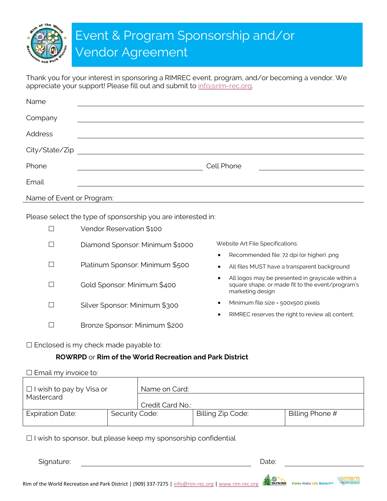Event & Program Sponsorship and/or Vendor Agreement

Thank you for your interest in sponsoring a RIMREC event, program, and/or becoming a vendor. We appreciate your support! Please fill out and submit to info@rim-rec.org.

| Name                      |                                                                                                                      |
|---------------------------|----------------------------------------------------------------------------------------------------------------------|
| Company                   |                                                                                                                      |
| Address                   |                                                                                                                      |
| City/State/Zip            | <u> 1980 - Jan Stein Stein Stein Stein Stein Stein Stein Stein Stein Stein Stein Stein Stein Stein Stein Stein S</u> |
| Phone                     | Cell Phone                                                                                                           |
| Email                     |                                                                                                                      |
| Name of Event or Program: |                                                                                                                      |

Please select the type of sponsorship you are interested in:

| Vendor Reservation \$100        |                                                                                                                               |  |  |
|---------------------------------|-------------------------------------------------------------------------------------------------------------------------------|--|--|
| Diamond Sponsor: Minimum \$1000 | Website Art File Specifications:                                                                                              |  |  |
|                                 | Recommended file: 72 dpi (or higher) png<br>$\bullet$                                                                         |  |  |
| Platinum Sponsor: Minimum \$500 | All files MUST have a transparent background<br>$\bullet$                                                                     |  |  |
| Gold Sponsor: Minimum \$400     | All logos may be presented in grayscale within a<br>٠<br>square shape, or made fit to the event/program's<br>marketing design |  |  |
| Silver Sponsor: Minimum \$300   | Minimum file size = 500x500 pixels<br>$\bullet$                                                                               |  |  |
|                                 | RIMREC reserves the right to review all content.<br>٠                                                                         |  |  |
| Bronze Sponsor: Minimum \$200   |                                                                                                                               |  |  |

 $\square$  Enclosed is my check made payable to:

### **ROWRPD** or **Rim of the World Recreation and Park District**

### $\square$  Email my invoice to:

| $\Box$ I wish to pay by Visa or<br>Mastercard |                | Name on Card:    |                   |                 |
|-----------------------------------------------|----------------|------------------|-------------------|-----------------|
|                                               |                | Credit Card No.: |                   |                 |
| <b>Expiration Date:</b>                       | Security Code: |                  | Billing Zip Code: | Billing Phone # |

 $\Box$  I wish to sponsor, but please keep my sponsorship confidential

Signature: **Date:** Date: **Date:** Date: **Date: Date: Date: Date: Date: Date: Date: Date: Date: Date: Date: Date: Date: Date: Date: Date: Date: Date: Date: Date: Date: Date: Date:** 

Rim of the World Recreation and Park District | (909) 337-7275 | [info@rim-rec.org](mailto:info@rim-rec.org) | www.rim-rec.org